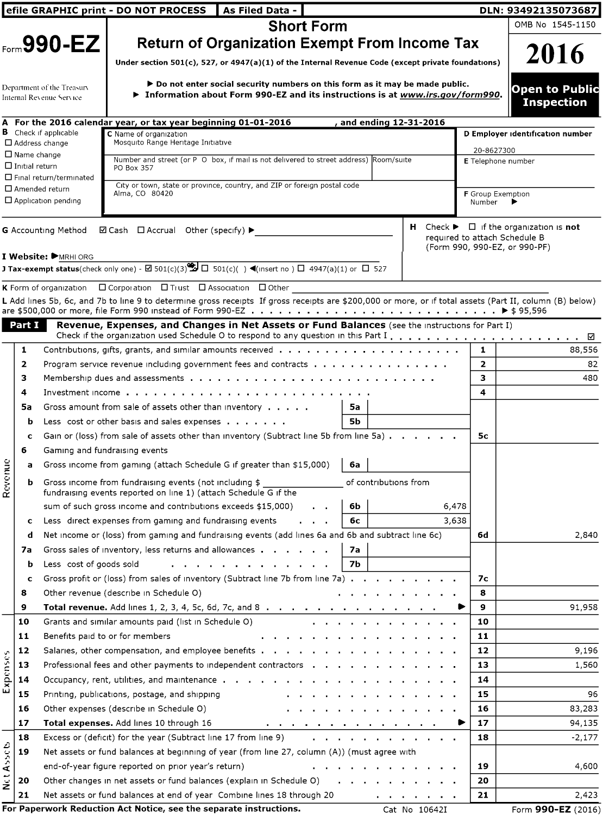|                              |                       |                                                       | efile GRAPHIC print - DO NOT PROCESS<br>As Filed Data -                                                                                                             |                | DLN: 93492135073687                                                      |
|------------------------------|-----------------------|-------------------------------------------------------|---------------------------------------------------------------------------------------------------------------------------------------------------------------------|----------------|--------------------------------------------------------------------------|
|                              |                       |                                                       | <b>Short Form</b>                                                                                                                                                   |                | OMB No 1545-1150                                                         |
|                              |                       | $F_{\text{corr}}$ 990-EZ                              | <b>Return of Organization Exempt From Income Tax</b>                                                                                                                |                |                                                                          |
|                              |                       |                                                       |                                                                                                                                                                     |                | 2016                                                                     |
|                              |                       |                                                       | Under section $501(c)$ , 527, or 4947(a)(1) of the Internal Revenue Code (except private foundations)                                                               |                |                                                                          |
|                              |                       | Department of the Treasury                            | $\blacktriangleright$ Do not enter social security numbers on this form as it may be made public.                                                                   |                | <b>Open to Public</b>                                                    |
|                              |                       | Internal Revenue Service                              | $\blacktriangleright$ Information about Form 990-EZ and its instructions is at www.irs.gov/form990.                                                                 |                | <b>Inspection</b>                                                        |
|                              |                       |                                                       |                                                                                                                                                                     |                |                                                                          |
|                              |                       | <b>B</b> Check if applicable                          | A For the 2016 calendar year, or tax year beginning 01-01-2016<br>, and ending 12-31-2016                                                                           |                |                                                                          |
|                              |                       | $\Box$ Address change                                 | C Name of organization<br>Mosquito Range Heritage Initiative                                                                                                        |                | D Employer identification number                                         |
|                              | $\square$ Name change |                                                       | Number and street (or P O box, if mail is not delivered to street address) Room/suite                                                                               |                | 20-8627300<br><b>E</b> Telephone number                                  |
|                              | $\Box$ Initial return |                                                       | PO Box 357                                                                                                                                                          |                |                                                                          |
|                              |                       | □ Final return/terminated<br>$\square$ Amended return | City or town, state or province, country, and ZIP or foreign postal code                                                                                            |                |                                                                          |
|                              |                       | $\Box$ Application pending                            | Alma, CO 80420                                                                                                                                                      | Number         | <b>F</b> Group Exemption                                                 |
|                              |                       |                                                       |                                                                                                                                                                     |                |                                                                          |
|                              |                       | <b>G</b> Accounting Method                            | $\boxdot$ Cash $\Box$ Accrual Other (specify) ▶                                                                                                                     |                | $H$ Check $\blacktriangleright$ $\Box$ if the organization is <b>not</b> |
|                              |                       |                                                       |                                                                                                                                                                     |                | required to attach Schedule B<br>(Form 990, 990-EZ, or 990-PF)           |
|                              |                       | I Website: MRHI ORG                                   |                                                                                                                                                                     |                |                                                                          |
|                              |                       |                                                       | <b>J Tax-exempt status</b> (check only one) - $\boxtimes$ 501(c)(3) $\bigotimes$ $\Box$ 501(c)( ) $\blacktriangleleft$ (insert no ) $\Box$ 4947(a)(1) or $\Box$ 527 |                |                                                                          |
|                              |                       |                                                       | K Form of organization  □ Corporation  □ Trust  □ Association  □ Other                                                                                              |                |                                                                          |
|                              |                       |                                                       | L Add lines 5b, 6c, and 7b to line 9 to determine gross receipts If gross receipts are \$200,000 or more, or if total assets (Part II, column (B) below)            |                |                                                                          |
|                              |                       |                                                       |                                                                                                                                                                     |                |                                                                          |
|                              | Part I                |                                                       | Revenue, Expenses, and Changes in Net Assets or Fund Balances (see the instructions for Part I)                                                                     |                | ⊻                                                                        |
|                              | 1                     |                                                       | Contributions, gifts, grants, and similar amounts received $\ldots$ , , , , , ,                                                                                     | 1              | 88,556                                                                   |
|                              | 2                     |                                                       | Program service revenue including government fees and contracts $\ldots$ ,                                                                                          | $\overline{2}$ | 82                                                                       |
|                              | 3                     |                                                       |                                                                                                                                                                     | 3              | 480                                                                      |
|                              | 4                     |                                                       | Investment income $\ldots$ , $\ldots$ , $\ldots$ , $\ldots$ , $\ldots$ , $\ldots$ , $\ldots$ , $\ldots$                                                             | 4              |                                                                          |
|                              | 5а                    |                                                       | Gross amount from sale of assets other than inventory $\cdots$ .<br>5а                                                                                              |                |                                                                          |
|                              | b                     |                                                       | 5Ь<br>Less cost or other basis and sales expenses $\cdots$ , $\cdots$                                                                                               |                |                                                                          |
|                              | c                     |                                                       | Gain or (loss) from sale of assets other than inventory (Subtract line 5b from line 5a)                                                                             | 5с             |                                                                          |
|                              | 6                     | Gaming and fundraising events                         |                                                                                                                                                                     |                |                                                                          |
|                              | а                     |                                                       | Gross income from gaming (attach Schedule G if greater than \$15,000)<br>6а                                                                                         |                |                                                                          |
|                              | b                     |                                                       | Gross income from fundraising events (not including \$<br>of contributions from                                                                                     |                |                                                                          |
| Revenue                      |                       |                                                       | fundraising events reported on line 1) (attach Schedule G if the                                                                                                    |                |                                                                          |
|                              |                       |                                                       | sum of such gross income and contributions exceeds \$15,000)<br>6,478<br>6b<br><b>Contract Contract</b>                                                             |                |                                                                          |
|                              | c                     |                                                       | 3,638<br>Less direct expenses from gaming and fundraising events<br>бс<br>$\alpha$ , $\alpha$ , $\alpha$ , $\alpha$ , $\alpha$                                      |                |                                                                          |
|                              | d                     |                                                       | Net income or (loss) from gaming and fundraising events (add lines 6a and 6b and subtract line 6c)                                                                  | 6d             | 2,840                                                                    |
|                              | 7а                    |                                                       | Gross sales of inventory, less returns and allowances $\cdot \cdot \cdot \cdot$<br>7а                                                                               |                |                                                                          |
|                              | b                     | Less cost of goods sold                               | 7Ь                                                                                                                                                                  |                |                                                                          |
|                              | c                     |                                                       | Gross profit or (loss) from sales of inventory (Subtract line 7b from line 7a)                                                                                      | 7с             |                                                                          |
|                              | 8                     |                                                       | Other revenue (describe in Schedule O)                                                                                                                              | 8              |                                                                          |
|                              | 9                     |                                                       | <b>Total revenue.</b> Add lines 1, 2, 3, 4, 5c, 6d, 7c, and 8                                                                                                       | 9              | 91,958                                                                   |
|                              | 10                    |                                                       | Grants and similar amounts paid (list in Schedule O)                                                                                                                | 10             |                                                                          |
|                              | 11                    |                                                       | Benefits paid to or for members                                                                                                                                     | 11             |                                                                          |
|                              | 12                    |                                                       | Salaries, other compensation, and employee benefits $\cdots$ , $\cdots$ , $\cdots$                                                                                  | 12             | 9,196                                                                    |
|                              | 13                    |                                                       | Professional fees and other payments to independent contractors                                                                                                     | 13             | 1,560                                                                    |
| Expenses                     | 14                    |                                                       | Occupancy, rent, utilities, and maintenance                                                                                                                         | 14             |                                                                          |
|                              | 15                    |                                                       | Printing, publications, postage, and shipping                                                                                                                       | 15             | 96                                                                       |
|                              | 16                    |                                                       | Other expenses (describe in Schedule O)                                                                                                                             | 16             | 83,283                                                                   |
|                              | 17                    |                                                       | Total expenses. Add lines 10 through 16<br>$\mathbf{r} = \mathbf{r} + \mathbf{r}$ , where $\mathbf{r}$                                                              | 17             | 94,135                                                                   |
|                              | 18                    |                                                       | Excess or (deficit) for the year (Subtract line 17 from line 9)<br>a contract and a contract and a con-                                                             | 18             | $-2,177$                                                                 |
| Asseb                        | 19                    |                                                       | Net assets or fund balances at beginning of year (from line 27, column (A)) (must agree with                                                                        |                |                                                                          |
|                              |                       |                                                       | end-of-year figure reported on prior year's return)                                                                                                                 | 19             | 4,600                                                                    |
| $\tilde{\tilde{\mathbf{z}}}$ | 20                    |                                                       | Other changes in net assets or fund balances (explain in Schedule O)                                                                                                | 20             |                                                                          |
|                              | 21                    |                                                       | Net assets or fund balances at end of year Combine lines 18 through 20                                                                                              | 21             | 2,423                                                                    |
|                              |                       |                                                       | For Paperwork Reduction Act Notice, see the separate instructions.<br>Cat No 10642I                                                                                 |                | Form 990-EZ (2016)                                                       |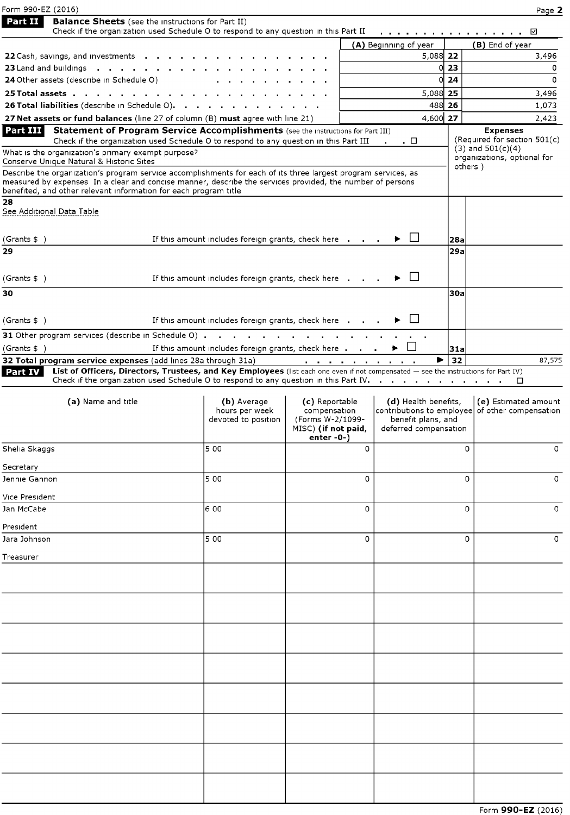| Form 990-EZ (2016)                                                                                                                                                                                                                                                      |                                                                                                                                     |                                                                             |                                                                |          | Page 2                                               |
|-------------------------------------------------------------------------------------------------------------------------------------------------------------------------------------------------------------------------------------------------------------------------|-------------------------------------------------------------------------------------------------------------------------------------|-----------------------------------------------------------------------------|----------------------------------------------------------------|----------|------------------------------------------------------|
| Part II<br><b>Balance Sheets</b> (see the instructions for Part II)                                                                                                                                                                                                     |                                                                                                                                     |                                                                             |                                                                |          |                                                      |
|                                                                                                                                                                                                                                                                         | Check if the organization used Schedule O to respond to any question in this Part II                                                |                                                                             | a construction of the contract of the construction of the con- |          | ☑                                                    |
| <b>22</b> Cash, savings, and investments $\cdot \cdot \cdot \cdot \cdot \cdot \cdot \cdot \cdot \cdot \cdot$                                                                                                                                                            |                                                                                                                                     |                                                                             | (A) Beginning of year<br>5,088 22                              |          | (B) End of year<br>3,496                             |
| 23 Land and buildings (exception of except of except of except of except of except of the except of the except                                                                                                                                                          |                                                                                                                                     |                                                                             |                                                                | 0123     | 0                                                    |
| 24 Other assets (describe in Schedule O)                                                                                                                                                                                                                                |                                                                                                                                     |                                                                             | 0                                                              | 24       | 0                                                    |
|                                                                                                                                                                                                                                                                         |                                                                                                                                     |                                                                             | 5,088 25                                                       |          | 3,496                                                |
| 26 Total liabilities (describe in Schedule O).                                                                                                                                                                                                                          |                                                                                                                                     |                                                                             | 488 26                                                         |          | 1,073                                                |
| 27 Net assets or fund balances (line 27 of column (B) must agree with line 21)<br>Part III l                                                                                                                                                                            | Statement of Program Service Accomplishments (see the Instructions for Part III)                                                    |                                                                             | 4,600 27                                                       |          | 2,423<br><b>Expenses</b>                             |
|                                                                                                                                                                                                                                                                         | Check if the organization used Schedule O to respond to any question in this Part III                                               |                                                                             | . □                                                            |          | (Required for section 501(c)                         |
| What is the organization's primary exempt purpose?                                                                                                                                                                                                                      |                                                                                                                                     |                                                                             |                                                                |          | $(3)$ and $501(c)(4)$<br>organizations, optional for |
| Conserve Unique Natural & Historic Sites<br>Describe the organization's program service accomplishments for each of its three largest program services, as<br>measured by expenses In a clear and concise manner, describe the services provided, the number of persons |                                                                                                                                     |                                                                             |                                                                | others ) |                                                      |
| benefited, and other relevant information for each program title<br>28                                                                                                                                                                                                  |                                                                                                                                     |                                                                             |                                                                |          |                                                      |
| See Addıtıonal Data Table                                                                                                                                                                                                                                               |                                                                                                                                     |                                                                             |                                                                |          |                                                      |
| (Grants \$ )                                                                                                                                                                                                                                                            | If this amount includes foreign grants, check here                                                                                  |                                                                             | Þ.                                                             | 28a      |                                                      |
| 29                                                                                                                                                                                                                                                                      |                                                                                                                                     |                                                                             |                                                                | 29a      |                                                      |
|                                                                                                                                                                                                                                                                         |                                                                                                                                     |                                                                             |                                                                |          |                                                      |
| (Grants \$ )                                                                                                                                                                                                                                                            | If this amount includes foreign grants, check here                                                                                  |                                                                             | ▸ 凵                                                            |          |                                                      |
| 30                                                                                                                                                                                                                                                                      |                                                                                                                                     |                                                                             |                                                                | 30a      |                                                      |
|                                                                                                                                                                                                                                                                         |                                                                                                                                     |                                                                             |                                                                |          |                                                      |
| (Grants \$ )                                                                                                                                                                                                                                                            | If this amount includes foreign grants, check here                                                                                  |                                                                             |                                                                |          |                                                      |
|                                                                                                                                                                                                                                                                         |                                                                                                                                     |                                                                             |                                                                |          |                                                      |
| (Grants \$ )                                                                                                                                                                                                                                                            | If this amount includes foreign grants, check here                                                                                  |                                                                             | $\blacktriangleright$                                          | 31a      |                                                      |
| 32 Total program service expenses (add lines 28a through 31a) $\cdots$ , , , , , , , , , , , , , , , , ,<br>Part IV                                                                                                                                                     | List of Officers, Directors, Trustees, and Key Employees (list each one even if not compensated - see the instructions for Part IV) |                                                                             | ▶                                                              | 32       | 87,575                                               |
|                                                                                                                                                                                                                                                                         | Check if the organization used Schedule O to respond to any question in this Part IV.                                               |                                                                             |                                                                |          | □                                                    |
| (a) Name and title                                                                                                                                                                                                                                                      | (b) Average                                                                                                                         | (c) Reportable                                                              | (d) Health benefits,                                           |          | (e) Estimated amount                                 |
|                                                                                                                                                                                                                                                                         | hours per week<br>devoted to position                                                                                               | compensation<br>(Forms W-2/1099-<br>MISC) (if not paid,<br>enter $-0$ - $)$ | benefit plans, and<br>deferred compensation                    |          | contributions to employee of other compensation      |
| Shelia Skaggs                                                                                                                                                                                                                                                           | 5 0 0                                                                                                                               | 0                                                                           |                                                                | 0        | $\circ$                                              |
| Secretary                                                                                                                                                                                                                                                               |                                                                                                                                     |                                                                             |                                                                |          |                                                      |
| Jennie Gannon                                                                                                                                                                                                                                                           | 5 00                                                                                                                                | 0                                                                           |                                                                | 0        | 0                                                    |
| Vice President                                                                                                                                                                                                                                                          |                                                                                                                                     |                                                                             |                                                                |          |                                                      |
| Jan McCabe                                                                                                                                                                                                                                                              | 6 00                                                                                                                                | 0                                                                           |                                                                | 0        | $\circ$                                              |
| President                                                                                                                                                                                                                                                               |                                                                                                                                     |                                                                             |                                                                |          |                                                      |
| Jara Johnson                                                                                                                                                                                                                                                            | 5 00                                                                                                                                | $\mathbf 0$                                                                 |                                                                | 0        | $\circ$                                              |
| Treasurer                                                                                                                                                                                                                                                               |                                                                                                                                     |                                                                             |                                                                |          |                                                      |
|                                                                                                                                                                                                                                                                         |                                                                                                                                     |                                                                             |                                                                |          |                                                      |
|                                                                                                                                                                                                                                                                         |                                                                                                                                     |                                                                             |                                                                |          |                                                      |
|                                                                                                                                                                                                                                                                         |                                                                                                                                     |                                                                             |                                                                |          |                                                      |
|                                                                                                                                                                                                                                                                         |                                                                                                                                     |                                                                             |                                                                |          |                                                      |
|                                                                                                                                                                                                                                                                         |                                                                                                                                     |                                                                             |                                                                |          |                                                      |
|                                                                                                                                                                                                                                                                         |                                                                                                                                     |                                                                             |                                                                |          |                                                      |
|                                                                                                                                                                                                                                                                         |                                                                                                                                     |                                                                             |                                                                |          |                                                      |
|                                                                                                                                                                                                                                                                         |                                                                                                                                     |                                                                             |                                                                |          |                                                      |
|                                                                                                                                                                                                                                                                         |                                                                                                                                     |                                                                             |                                                                |          |                                                      |
|                                                                                                                                                                                                                                                                         |                                                                                                                                     |                                                                             |                                                                |          |                                                      |
|                                                                                                                                                                                                                                                                         |                                                                                                                                     |                                                                             |                                                                |          |                                                      |
|                                                                                                                                                                                                                                                                         |                                                                                                                                     |                                                                             |                                                                |          |                                                      |
|                                                                                                                                                                                                                                                                         |                                                                                                                                     |                                                                             |                                                                |          |                                                      |
|                                                                                                                                                                                                                                                                         |                                                                                                                                     |                                                                             |                                                                |          |                                                      |
|                                                                                                                                                                                                                                                                         |                                                                                                                                     |                                                                             |                                                                |          |                                                      |
|                                                                                                                                                                                                                                                                         |                                                                                                                                     |                                                                             |                                                                |          | .000E7101                                            |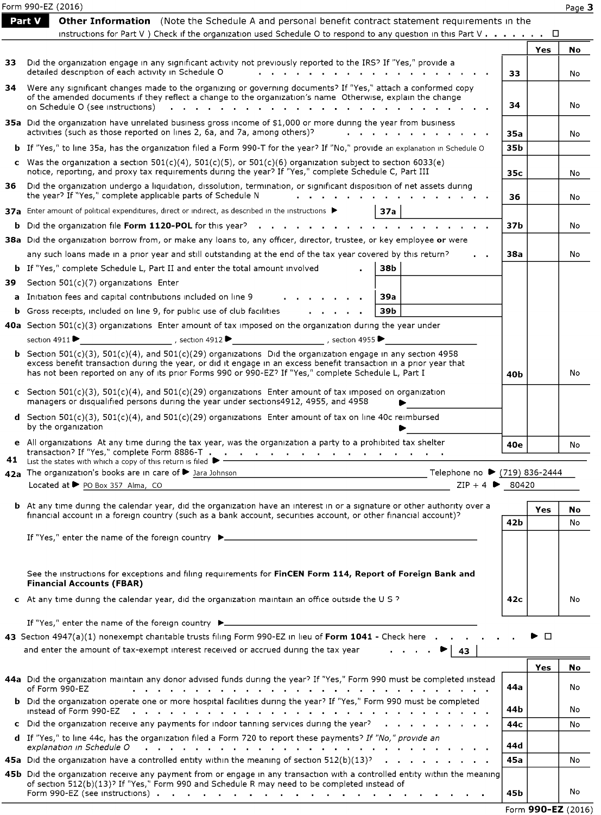|     | Form 990-EZ (2016)                                                                                                                                                                                                                                                |             |        | Page 3 |
|-----|-------------------------------------------------------------------------------------------------------------------------------------------------------------------------------------------------------------------------------------------------------------------|-------------|--------|--------|
|     | Part V<br><b>Other Information</b> (Note the Schedule A and personal benefit contract statement requirements in the                                                                                                                                               |             |        |        |
|     | instructions for Part V ) Check if the organization used Schedule O to respond to any question in this Part V $\dots$                                                                                                                                             |             |        |        |
|     |                                                                                                                                                                                                                                                                   |             | Yes    | No     |
| 33. | Did the organization engage in any significant activity not previously reported to the IRS? If "Yes," provide a<br>detailed description of each activity in Schedule O                                                                                            | 33          |        | No     |
| 34  | Were any significant changes made to the organizing or governing documents? If "Yes," attach a conformed copy                                                                                                                                                     |             |        |        |
|     | of the amended documents if they reflect a change to the organization's name Otherwise, explain the change<br>on Schedule O (see instructions)                                                                                                                    | 34          |        | No     |
|     | the contract of the contract of the contract of the contract of the contract of the contract of the contract of the contract of the contract of the contract of the contract of the contract of the contract of the contract o                                    |             |        |        |
|     | 35a Did the organization have unrelated business gross income of \$1,000 or more during the year from business<br>activities (such as those reported on lines 2, 6a, and 7a, among others)?<br>$\mathbf{r}$ , $\mathbf{r}$ , $\mathbf{r}$ , $\mathbf{r}$          | 35a         |        | No     |
|     | <b>b</b> If "Yes," to line 35a, has the organization filed a Form 990-T for the year? If "No," provide an explanation in Schedule O                                                                                                                               | 35b         |        |        |
|     | c Was the organization a section $501(c)(4)$ , $501(c)(5)$ , or $501(c)(6)$ organization subject to section 6033(e)<br>notice, reporting, and proxy tax requirements during the year? If "Yes," complete Schedule C, Part III                                     |             |        |        |
| 36. | Did the organization undergo a liquidation, dissolution, termination, or significant disposition of net assets during                                                                                                                                             | 35c         |        | No     |
|     | the year? If "Yes," complete applicable parts of Schedule N                                                                                                                                                                                                       | 36          |        | No     |
|     | <b>37a</b> Enter amount of political expenditures, direct or indirect, as described in the instructions $\blacktriangleright$<br>37a                                                                                                                              |             |        |        |
|     | <b>b</b> Did the organization file Form 1120-POL for this year?<br>and a series of the contract of the contract of the                                                                                                                                            | 37b         |        | No     |
|     | 38a Did the organization borrow from, or make any loans to, any officer, director, trustee, or key employee or were                                                                                                                                               |             |        |        |
|     | any such loans made in a prior year and still outstanding at the end of the tax year covered by this return?                                                                                                                                                      | 38a         |        | No     |
|     | <b>b</b> If "Yes," complete Schedule L, Part II and enter the total amount involved<br>38b                                                                                                                                                                        |             |        |        |
| 39  | Section 501(c)(7) organizations Enter                                                                                                                                                                                                                             |             |        |        |
| a   | Initiation fees and capital contributions included on line 9<br>39a                                                                                                                                                                                               |             |        |        |
| b   | Gross receipts, included on line 9, for public use of club facilities<br>39b<br>.                                                                                                                                                                                 |             |        |        |
|     | 40a Section $501(c)(3)$ organizations Enter amount of tax imposed on the organization during the year under                                                                                                                                                       |             |        |        |
|     | section 4911 ▶                                                                                                                                                                                                                                                    |             |        |        |
|     | <b>b</b> Section $501(c)(3)$ , $501(c)(4)$ , and $501(c)(29)$ organizations Did the organization engage in any section 4958                                                                                                                                       |             |        |        |
|     | excess benefit transaction during the year, or did it engage in an excess benefit transaction in a prior year that                                                                                                                                                |             |        |        |
|     | has not been reported on any of its prior Forms 990 or 990-EZ? If "Yes," complete Schedule L, Part I                                                                                                                                                              | 40b         |        | No     |
|     | c Section 501(c)(3), 501(c)(4), and 501(c)(29) organizations Enter amount of tax imposed on organization                                                                                                                                                          |             |        |        |
|     | managers or disqualified persons during the year under sections4912, 4955, and 4958                                                                                                                                                                               |             |        |        |
|     | d Section 501(c)(3), 501(c)(4), and 501(c)(29) organizations Enter amount of tax on line 40c reimbursed<br>by the organization                                                                                                                                    |             |        |        |
|     |                                                                                                                                                                                                                                                                   |             |        |        |
|     | e All organizations At any time during the tax year, was the organization a party to a prohibited tax shelter                                                                                                                                                     | 40e         |        | No     |
| 41  | List the states with which a copy of this return is filed                                                                                                                                                                                                         |             |        |        |
|     | 42a The organization's books are in care of > Jara Johnson<br>————————————————————— Telephone no ▶ (719) 836-2444                                                                                                                                                 |             |        |        |
|     | $\overline{ZIP + 4 \triangleright 80420}$<br>Located at ▶ PO Box 357 Alma, CO                                                                                                                                                                                     |             |        |        |
|     | b At any time during the calendar year, did the organization have an interest in or a signature or other authority over a                                                                                                                                         |             |        |        |
|     | financial account in a foreign country (such as a bank account, securities account, or other financial account)?                                                                                                                                                  |             | Yes    | No     |
|     |                                                                                                                                                                                                                                                                   | 42 <b>b</b> |        | No     |
|     |                                                                                                                                                                                                                                                                   |             |        |        |
|     |                                                                                                                                                                                                                                                                   |             |        |        |
|     |                                                                                                                                                                                                                                                                   |             |        |        |
|     | See the instructions for exceptions and filing requirements for FinCEN Form 114, Report of Foreign Bank and<br><b>Financial Accounts (FBAR)</b>                                                                                                                   |             |        |        |
|     | c At any time during the calendar year, did the organization maintain an office outside the U S $\overline{2}$                                                                                                                                                    | 42c         |        | No     |
|     |                                                                                                                                                                                                                                                                   |             |        |        |
|     | If "Yes," enter the name of the foreign country ▶                                                                                                                                                                                                                 |             |        |        |
|     | 43 Section 4947(a)(1) nonexempt charitable trusts filing Form 990-EZ in lieu of Form 1041 - Check here                                                                                                                                                            |             | $\Box$ |        |
|     | and enter the amount of tax-exempt interest received or accrued during the tax year<br>43                                                                                                                                                                         |             |        |        |
|     |                                                                                                                                                                                                                                                                   |             | Yes    | No     |
|     | 44a Did the organization maintain any donor advised funds during the year? If "Yes," Form 990 must be completed instead                                                                                                                                           |             |        |        |
|     | of Form 990-EZ<br>a constitution of the constitution of the constitution of the constitution of the constitution of the constitution of the constitution of the constitution of the constitution of the constitution of the constitution of the                   | 44a         |        | No     |
|     | b Did the organization operate one or more hospital facilities during the year? If "Yes," Form 990 must be completed<br>instead of Form 990-EZ<br>the contract of the contract of the contract of the contract of the contract of the contract of the contract of | 44 b        |        | No     |
|     | c Did the organization receive any payments for indoor tanning services during the year?<br>the company of the company of the company of                                                                                                                          | 44с         |        | No     |
|     | d If "Yes," to line 44c, has the organization filed a Form 720 to report these payments? If "No," provide an                                                                                                                                                      |             |        |        |
|     | explanation in Schedule O<br>and the contract of the contract of the contract of the contract of the contract of the contract of                                                                                                                                  | 44d         |        |        |
|     | 45a Did the organization have a controlled entity within the meaning of section $512(b)(13)^5$                                                                                                                                                                    | 45a         |        | No     |
|     | 45b Did the organization receive any payment from or engage in any transaction with a controlled entity within the meaning                                                                                                                                        |             |        |        |
|     | of section 512(b)(13)? If "Yes," Form 990 and Schedule R may need to be completed instead of                                                                                                                                                                      | 45b         |        | No     |

|  | Form 990-EZ (2016) |  |
|--|--------------------|--|
|--|--------------------|--|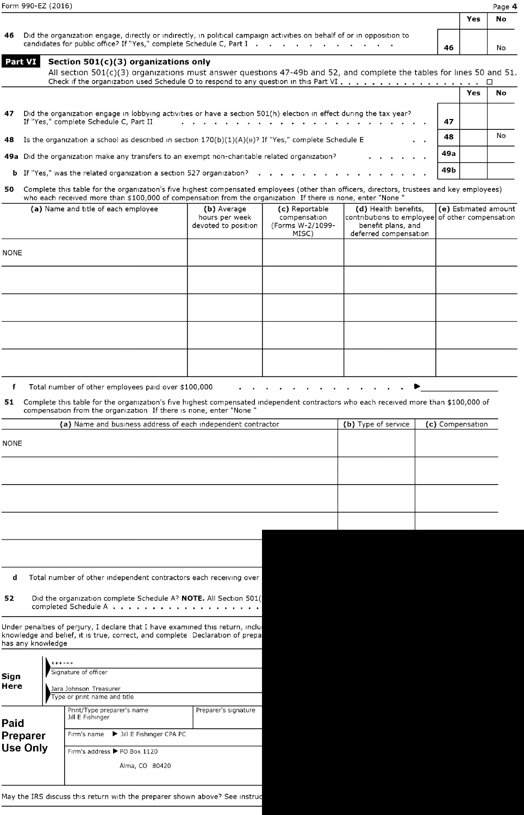| Form 990-EZ (2016) | Page 4 |
|--------------------|--------|
|                    |        |

| Form 990-EZ (2016) |                                                                                                                                                                                               |    |     |           |
|--------------------|-----------------------------------------------------------------------------------------------------------------------------------------------------------------------------------------------|----|-----|-----------|
|                    |                                                                                                                                                                                               |    | Yes | <b>No</b> |
| 46                 | Did the organization engage, directly or indirectly, in political campaign activities on behalf of or in opposition to<br>candidates for public office? If "Yes," complete Schedule C, Part I | 46 |     | No        |
|                    | Part VI Section 501(c)(3) organizations only                                                                                                                                                  |    |     |           |

|              | All section 501(c)(3) organizations must answer questions 47-49b and 52, and complete the tables for lines 50 and 51.                                                                                                                                                     |                                                      |                                                             |                                                                                                                        |                  |            |                      |
|--------------|---------------------------------------------------------------------------------------------------------------------------------------------------------------------------------------------------------------------------------------------------------------------------|------------------------------------------------------|-------------------------------------------------------------|------------------------------------------------------------------------------------------------------------------------|------------------|------------|----------------------|
|              |                                                                                                                                                                                                                                                                           |                                                      |                                                             |                                                                                                                        |                  | <b>Yes</b> | No                   |
| 47           | Did the organization engage in lobbying activities or have a section 501(h) election in effect during the tax year?<br>If "Yes," complete Schedule C, Part II                                                                                                             |                                                      |                                                             |                                                                                                                        | 47               |            |                      |
| 48           | Is the organization a school as described in section $170(b)(1)(A)(ii)^{2}$ If "Yes," complete Schedule E                                                                                                                                                                 |                                                      |                                                             |                                                                                                                        | 48               |            | No                   |
|              | 49a Did the organization make any transfers to an exempt non-charitable related organization?                                                                                                                                                                             |                                                      |                                                             |                                                                                                                        | 49a              |            |                      |
|              | <b>b</b> If "Yes," was the related organization a section 527 organization?                                                                                                                                                                                               |                                                      |                                                             |                                                                                                                        | 49 b             |            |                      |
| 50           | Complete this table for the organization's five highest compensated employees (other than officers, directors, trustees and key employees)<br>who each received more than \$100,000 of compensation from the organization If there is none, enter "None "                 |                                                      |                                                             |                                                                                                                        |                  |            |                      |
|              | (a) Name and title of each employee                                                                                                                                                                                                                                       | (b) Average<br>hours per week<br>devoted to position | (c) Reportable<br>compensation<br>(Forms W-2/1099-<br>MISC) | (d) Health benefits,<br>contributions to employee of other compensation<br>benefit plans, and<br>deferred compensation |                  |            | (e) Estimated amount |
| <b>NONE</b>  |                                                                                                                                                                                                                                                                           |                                                      |                                                             |                                                                                                                        |                  |            |                      |
|              |                                                                                                                                                                                                                                                                           |                                                      |                                                             |                                                                                                                        |                  |            |                      |
|              |                                                                                                                                                                                                                                                                           |                                                      |                                                             |                                                                                                                        |                  |            |                      |
|              |                                                                                                                                                                                                                                                                           |                                                      |                                                             |                                                                                                                        |                  |            |                      |
|              |                                                                                                                                                                                                                                                                           |                                                      |                                                             |                                                                                                                        |                  |            |                      |
|              |                                                                                                                                                                                                                                                                           |                                                      |                                                             |                                                                                                                        |                  |            |                      |
| 51           | Complete this table for the organization's five highest compensated independent contractors who each received more than \$100,000 of<br>compensation from the organization If there is none, enter "None"<br>(a) Name and business address of each independent contractor |                                                      |                                                             | (b) Type of service                                                                                                    | (c) Compensation |            |                      |
| <b>NONE</b>  |                                                                                                                                                                                                                                                                           |                                                      |                                                             |                                                                                                                        |                  |            |                      |
|              |                                                                                                                                                                                                                                                                           |                                                      |                                                             |                                                                                                                        |                  |            |                      |
|              |                                                                                                                                                                                                                                                                           |                                                      |                                                             |                                                                                                                        |                  |            |                      |
|              |                                                                                                                                                                                                                                                                           |                                                      |                                                             |                                                                                                                        |                  |            |                      |
|              |                                                                                                                                                                                                                                                                           |                                                      |                                                             |                                                                                                                        |                  |            |                      |
|              |                                                                                                                                                                                                                                                                           |                                                      |                                                             |                                                                                                                        |                  |            |                      |
|              |                                                                                                                                                                                                                                                                           |                                                      |                                                             |                                                                                                                        |                  |            |                      |
|              |                                                                                                                                                                                                                                                                           |                                                      |                                                             |                                                                                                                        |                  |            |                      |
|              |                                                                                                                                                                                                                                                                           |                                                      |                                                             |                                                                                                                        |                  |            |                      |
| d            | Total number of other independent contractors each receiving over                                                                                                                                                                                                         |                                                      |                                                             |                                                                                                                        |                  |            |                      |
| 52           | Did the organization complete Schedule A? NOTE. All Section 501(<br>completed Schedule A                                                                                                                                                                                  |                                                      |                                                             |                                                                                                                        |                  |            |                      |
|              | Under penalties of perjury, I declare that I have examined this return, inclui<br>knowledge and belief, it is true, correct, and complete Declaration of prepa<br>has any knowledge                                                                                       |                                                      |                                                             |                                                                                                                        |                  |            |                      |
|              | Signature of officer                                                                                                                                                                                                                                                      |                                                      |                                                             |                                                                                                                        |                  |            |                      |
| Sign<br>Here | Jara Johnson Treasurer                                                                                                                                                                                                                                                    |                                                      |                                                             |                                                                                                                        |                  |            |                      |
|              | Type or print name and title<br>Print/Type preparer's name                                                                                                                                                                                                                | Preparer's signature                                 |                                                             |                                                                                                                        |                  |            |                      |

| Paid            | Print/Type preparer's name<br>Jill E Fishinger | Preparer's signature |
|-----------------|------------------------------------------------|----------------------|
| Preparer        | Firm's name > Jill E Fishinger CPA PC          |                      |
| <b>Use Only</b> | Firm's address ▶ PO Box 1120                   |                      |
|                 | Alma, CO 80420                                 |                      |

May the IRS discuss this return with the preparer shown above? See instru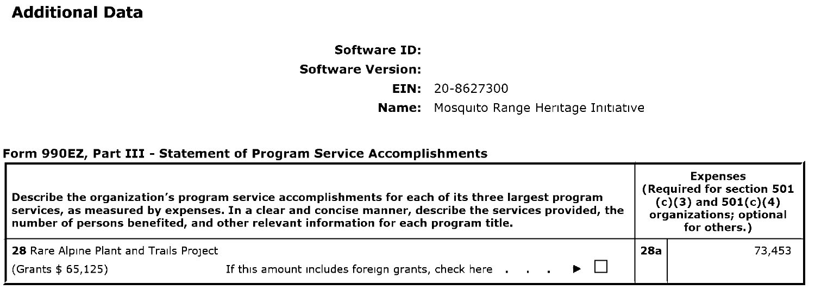## Additional Data

## Software ID: Software Version:

EIN: 20-8627300

Name: Mosquito Range Heritage Initiative

#### Form 990EZ, Part III - Statement of Program Service Accomplishments

| Describe the organization's program service accomplishments for each of its three largest program<br>services, as measured by expenses. In a clear and concise manner, describe the services provided, the<br>number of persons benefited, and other relevant information for each program title. |                                                                                                   | <b>Expenses</b><br>(Required for section 501<br>$(c)(3)$ and $501(c)(4)$<br>organizations; optional<br>for others.) |        |  |
|---------------------------------------------------------------------------------------------------------------------------------------------------------------------------------------------------------------------------------------------------------------------------------------------------|---------------------------------------------------------------------------------------------------|---------------------------------------------------------------------------------------------------------------------|--------|--|
| 28 Rare Alpine Plant and Trails Project                                                                                                                                                                                                                                                           |                                                                                                   | 28a                                                                                                                 | 73,453 |  |
| (Grants \$ 65,125)                                                                                                                                                                                                                                                                                | If this amount includes foreign grants, check here $\ldots$ $\ldots$ $\blacktriangleright$ $\Box$ |                                                                                                                     |        |  |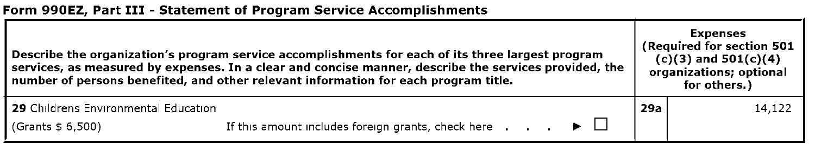### Form 990EZ, Part III - Statement of Program Service Accomplishments

| Describe the organization's program service accomplishments for each of its three largest program<br>services, as measured by expenses. In a clear and concise manner, describe the services provided, the<br>number of persons benefited, and other relevant information for each program title. |                                                                                          | <b>Expenses</b><br>(Required for section 501<br>$(c)(3)$ and $501(c)(4)$<br>organizations; optional<br>for others.) |        |
|---------------------------------------------------------------------------------------------------------------------------------------------------------------------------------------------------------------------------------------------------------------------------------------------------|------------------------------------------------------------------------------------------|---------------------------------------------------------------------------------------------------------------------|--------|
| 29 Childrens Environmental Education                                                                                                                                                                                                                                                              |                                                                                          | 29a                                                                                                                 | 14,122 |
| (Grants \$ 6,500)                                                                                                                                                                                                                                                                                 | If this amount includes foreign grants, check here $\cdot \cdot \cdot \cdot \cdot \cdot$ |                                                                                                                     |        |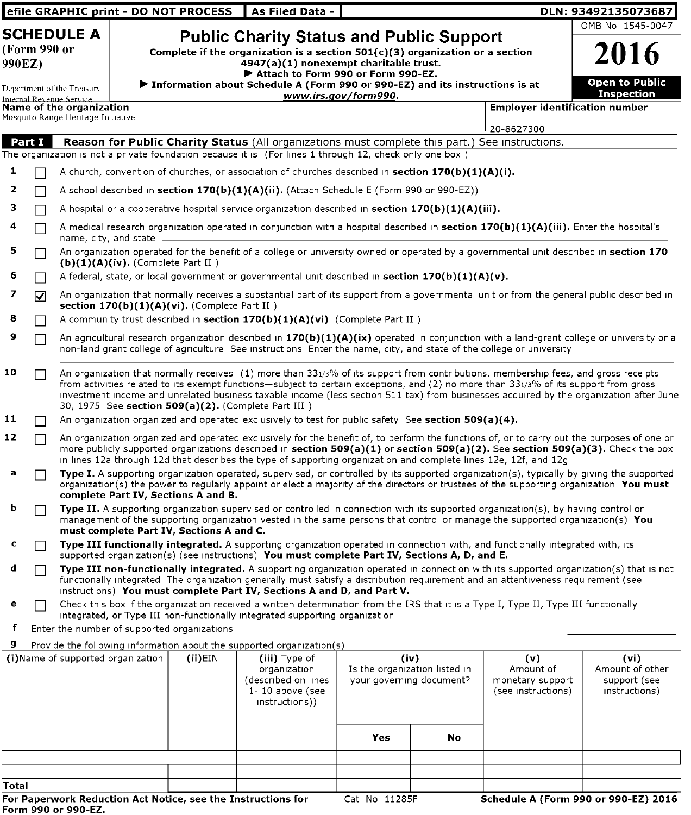|               |              |                                                                                            |                                      | efile GRAPHIC print - DO NOT PROCESS            | As Filed Data -                                                                                                                                                                                                                                                                                                                                                                                   |                                                                   |    |                                                            | DLN: 93492135073687                                                                                                                      |
|---------------|--------------|--------------------------------------------------------------------------------------------|--------------------------------------|-------------------------------------------------|---------------------------------------------------------------------------------------------------------------------------------------------------------------------------------------------------------------------------------------------------------------------------------------------------------------------------------------------------------------------------------------------------|-------------------------------------------------------------------|----|------------------------------------------------------------|------------------------------------------------------------------------------------------------------------------------------------------|
|               |              | <b>SCHEDULE A</b>                                                                          |                                      |                                                 | <b>Public Charity Status and Public Support</b>                                                                                                                                                                                                                                                                                                                                                   |                                                                   |    |                                                            | OMB No 1545-0047                                                                                                                         |
| 990EZ)        | (Form 990 or |                                                                                            |                                      |                                                 | Complete if the organization is a section $501(c)(3)$ organization or a section<br>4947(a)(1) nonexempt charitable trust.                                                                                                                                                                                                                                                                         |                                                                   |    |                                                            | 2016                                                                                                                                     |
|               |              | Department of the Treasury                                                                 |                                      |                                                 | Attach to Form 990 or Form 990-EZ.<br>$\blacktriangleright$ Information about Schedule A (Form 990 or 990-EZ) and its instructions is at                                                                                                                                                                                                                                                          | www.irs.gov/form990.                                              |    |                                                            | <b>Open to Public</b><br><b>Inspection</b>                                                                                               |
|               |              | Internal Revenue Service<br>Name of the organization<br>Mosquito Range Heritage Initiative |                                      |                                                 |                                                                                                                                                                                                                                                                                                                                                                                                   |                                                                   |    | <b>Employer identification number</b>                      |                                                                                                                                          |
|               |              |                                                                                            |                                      |                                                 |                                                                                                                                                                                                                                                                                                                                                                                                   |                                                                   |    | 20-8627300                                                 |                                                                                                                                          |
| <b>Part I</b> |              |                                                                                            |                                      |                                                 | Reason for Public Charity Status (All organizations must complete this part.) See instructions.                                                                                                                                                                                                                                                                                                   |                                                                   |    |                                                            |                                                                                                                                          |
|               |              |                                                                                            |                                      |                                                 | The organization is not a private foundation because it is (For lines 1 through 12, check only one box)                                                                                                                                                                                                                                                                                           |                                                                   |    |                                                            |                                                                                                                                          |
| 1             |              |                                                                                            |                                      |                                                 | A church, convention of churches, or association of churches described in section $170(b)(1)(A)(i)$ .                                                                                                                                                                                                                                                                                             |                                                                   |    |                                                            |                                                                                                                                          |
| 2             |              |                                                                                            |                                      |                                                 | A school described in <b>section 170(b)(1)(A)(ii).</b> (Attach Schedule E (Form 990 or 990-EZ))                                                                                                                                                                                                                                                                                                   |                                                                   |    |                                                            |                                                                                                                                          |
| з             |              |                                                                                            |                                      |                                                 | A hospital or a cooperative hospital service organization described in section $170(b)(1)(A)(iii)$ .                                                                                                                                                                                                                                                                                              |                                                                   |    |                                                            |                                                                                                                                          |
| 4             |              | name, city, and state                                                                      |                                      |                                                 | A medical research organization operated in conjunction with a hospital described in section 170(b)(1)(A)(iii). Enter the hospital's                                                                                                                                                                                                                                                              |                                                                   |    |                                                            |                                                                                                                                          |
| 5             |              |                                                                                            | $(b)(1)(A)(iv)$ . (Complete Part II) |                                                 | An organization operated for the benefit of a college or university owned or operated by a governmental unit described in section 170                                                                                                                                                                                                                                                             |                                                                   |    |                                                            |                                                                                                                                          |
| 6             |              |                                                                                            |                                      |                                                 | A federal, state, or local government or governmental unit described in section $170(b)(1)(A)(v)$ .                                                                                                                                                                                                                                                                                               |                                                                   |    |                                                            |                                                                                                                                          |
| 7             | ☑            |                                                                                            |                                      | section $170(b)(1)(A)(vi)$ . (Complete Part II) | An organization that normally receives a substantial part of its support from a governmental unit or from the general public described in                                                                                                                                                                                                                                                         |                                                                   |    |                                                            |                                                                                                                                          |
| 8             |              |                                                                                            |                                      |                                                 | A community trust described in section $170(b)(1)(A)(vi)$ (Complete Part II)                                                                                                                                                                                                                                                                                                                      |                                                                   |    |                                                            |                                                                                                                                          |
| 9             |              |                                                                                            |                                      |                                                 | non-land grant college of agriculture. See instructions. Enter the name, city, and state of the college or university                                                                                                                                                                                                                                                                             |                                                                   |    |                                                            | An agricultural research organization described in 170(b)(1)(A)(ix) operated in conjunction with a land-grant college or university or a |
| 10            |              |                                                                                            |                                      |                                                 | An organization that normally receives (1) more than 331/3% of its support from contributions, membership fees, and gross receipts<br>from activities related to its exempt functions—subject to certain exceptions, and $(2)$ no more than 331/3% of its support from gross<br>30, 1975 See section 509(a)(2). (Complete Part III)                                                               |                                                                   |    |                                                            | investment income and unrelated business taxable income (less section 511 tax) from businesses acquired by the organization after June   |
| 11            |              |                                                                                            |                                      |                                                 | An organization organized and operated exclusively to test for public safety See section 509(a)(4).                                                                                                                                                                                                                                                                                               |                                                                   |    |                                                            |                                                                                                                                          |
| 12            |              |                                                                                            |                                      |                                                 | An organization organized and operated exclusively for the benefit of, to perform the functions of, or to carry out the purposes of one or<br>more publicly supported organizations described in section 509(a)(1) or section 509(a)(2). See section 509(a)(3). Check the box<br>in lines 12a through 12d that describes the type of supporting organization and complete lines 12e, 12f, and 12g |                                                                   |    |                                                            |                                                                                                                                          |
| а             |              |                                                                                            |                                      | complete Part IV, Sections A and B.             | Type I. A supporting organization operated, supervised, or controlled by its supported organization(s), typically by giving the supported<br>organization(s) the power to regularly appoint or elect a majority of the directors or trustees of the supporting organization You must                                                                                                              |                                                                   |    |                                                            |                                                                                                                                          |
| b             |              |                                                                                            |                                      | must complete Part IV, Sections A and C.        | <b>Type II.</b> A supporting organization supervised or controlled in connection with its supported organization(s), by having control or<br>management of the supporting organization vested in the same persons that control or manage the supported organization(s) You                                                                                                                        |                                                                   |    |                                                            |                                                                                                                                          |
| с             |              |                                                                                            |                                      |                                                 | Type III functionally integrated. A supporting organization operated in connection with, and functionally integrated with, its<br>supported organization(s) (see instructions) You must complete Part IV, Sections A, D, and E.                                                                                                                                                                   |                                                                   |    |                                                            |                                                                                                                                          |
| d             |              |                                                                                            |                                      |                                                 | functionally integrated The organization generally must satisfy a distribution requirement and an attentiveness requirement (see<br>instructions) You must complete Part IV, Sections A and D, and Part V.                                                                                                                                                                                        |                                                                   |    |                                                            | Type III non-functionally integrated. A supporting organization operated in connection with its supported organization(s) that is not    |
| е             |              |                                                                                            |                                      |                                                 | Check this box if the organization received a written determination from the IRS that it is a Type I, Type II, Type III functionally<br>integrated, or Type III non-functionally integrated supporting organization                                                                                                                                                                               |                                                                   |    |                                                            |                                                                                                                                          |
| f             |              |                                                                                            |                                      | Enter the number of supported organizations     |                                                                                                                                                                                                                                                                                                                                                                                                   |                                                                   |    |                                                            |                                                                                                                                          |
| g             |              |                                                                                            |                                      |                                                 | Provide the following information about the supported organization(s)                                                                                                                                                                                                                                                                                                                             |                                                                   |    |                                                            |                                                                                                                                          |
|               |              | (i)Name of supported organization                                                          |                                      | $(ii)$ EIN                                      | (iii) Type of<br>organization<br>(described on lines<br>$1 - 10$ above (see<br>instructor()                                                                                                                                                                                                                                                                                                       | (iv)<br>Is the organization listed in<br>your governing document? |    | (v)<br>Amount of<br>monetary support<br>(see instructions) | (vi)<br>Amount of other<br>support (see<br>instructions)                                                                                 |
|               |              |                                                                                            |                                      |                                                 |                                                                                                                                                                                                                                                                                                                                                                                                   | Yes                                                               | No |                                                            |                                                                                                                                          |
|               |              |                                                                                            |                                      |                                                 |                                                                                                                                                                                                                                                                                                                                                                                                   |                                                                   |    |                                                            |                                                                                                                                          |
| Total         |              |                                                                                            |                                      |                                                 |                                                                                                                                                                                                                                                                                                                                                                                                   |                                                                   |    |                                                            |                                                                                                                                          |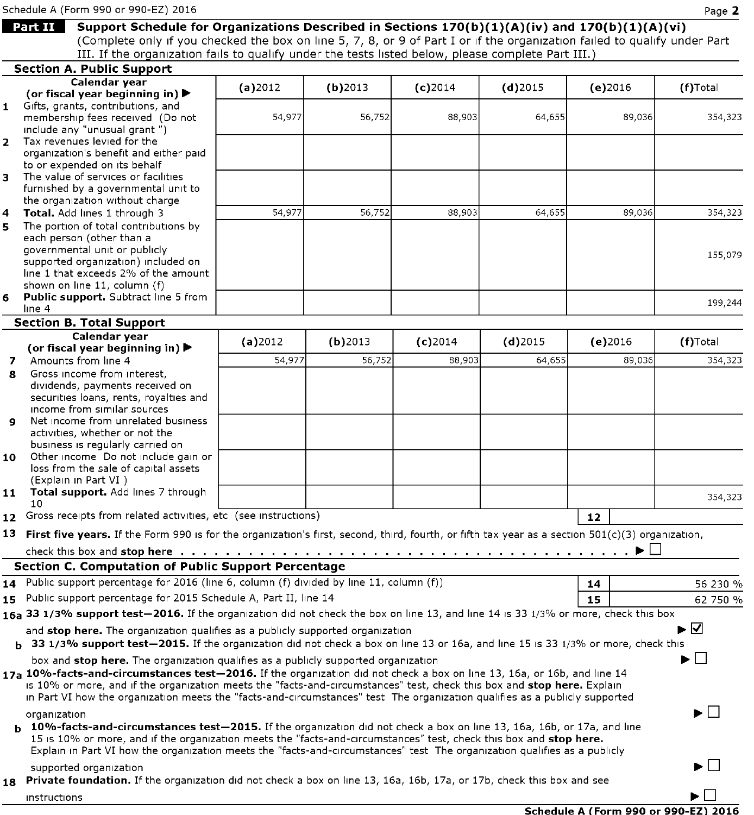Schedule A (Form 990 or 990-EZ) 2016 **Page 2** 

|              | Support Schedule for Organizations Described in Sections 170(b)(1)(A)(iv) and 170(b)(1)(A)(vi)<br><b>Part II</b>                                                                                              |         |            |            |            |            |                                         |
|--------------|---------------------------------------------------------------------------------------------------------------------------------------------------------------------------------------------------------------|---------|------------|------------|------------|------------|-----------------------------------------|
|              | (Complete only if you checked the box on line 5, 7, 8, or 9 of Part I or if the organization failed to qualify under Part                                                                                     |         |            |            |            |            |                                         |
|              | III. If the organization fails to qualify under the tests listed below, please complete Part III.)                                                                                                            |         |            |            |            |            |                                         |
|              | <b>Section A. Public Support</b><br>Calendar year                                                                                                                                                             |         |            |            |            |            |                                         |
|              | (or fiscal year beginning in) $\blacktriangleright$                                                                                                                                                           | (a)2012 | $(b)$ 2013 | $(c)$ 2014 | $(d)$ 2015 | $(e)$ 2016 | (f)Total                                |
|              | 1 Gifts, grants, contributions, and                                                                                                                                                                           |         |            |            |            |            |                                         |
|              | membership fees received (Do not                                                                                                                                                                              | 54,977  | 56,752     | 88,903     | 64,655     | 89,036     | 354,323                                 |
| $\mathbf{2}$ | include any "unusual grant")<br>Tax revenues levied for the                                                                                                                                                   |         |            |            |            |            |                                         |
|              | organization's benefit and either paid                                                                                                                                                                        |         |            |            |            |            |                                         |
|              | to or expended on its behalf                                                                                                                                                                                  |         |            |            |            |            |                                         |
| 3            | The value of services or facilities                                                                                                                                                                           |         |            |            |            |            |                                         |
|              | furnished by a governmental unit to                                                                                                                                                                           |         |            |            |            |            |                                         |
|              | the organization without charge                                                                                                                                                                               |         |            |            |            |            |                                         |
| 4            | Total. Add lines 1 through 3                                                                                                                                                                                  | 54,977  | 56,752     | 88,903     | 64,655     | 89,036     | 354,323                                 |
| 5.           | The portion of total contributions by<br>each person (other than a                                                                                                                                            |         |            |            |            |            |                                         |
|              | governmental unit or publicly                                                                                                                                                                                 |         |            |            |            |            |                                         |
|              | supported organization) included on                                                                                                                                                                           |         |            |            |            |            | 155,079                                 |
|              | line 1 that exceeds 2% of the amount                                                                                                                                                                          |         |            |            |            |            |                                         |
|              | shown on line 11, column (f)                                                                                                                                                                                  |         |            |            |            |            |                                         |
| 6            | <b>Public support.</b> Subtract line 5 from                                                                                                                                                                   |         |            |            |            |            | 199,244                                 |
|              | line 4<br><b>Section B. Total Support</b>                                                                                                                                                                     |         |            |            |            |            |                                         |
|              | Calendar year                                                                                                                                                                                                 |         |            |            |            |            |                                         |
|              | (or fiscal year beginning in) $\blacktriangleright$                                                                                                                                                           | (a)2012 | $(b)$ 2013 | $(c)$ 2014 | $(d)$ 2015 | $(e)$ 2016 | (f)Total                                |
| 7            | Amounts from line 4                                                                                                                                                                                           | 54,977  | 56,752     | 88,903     | 64,655     | 89,036     | 354,323                                 |
| 8            | Gross income from interest,                                                                                                                                                                                   |         |            |            |            |            |                                         |
|              | dividends, payments received on                                                                                                                                                                               |         |            |            |            |            |                                         |
|              | securities loans, rents, royalties and                                                                                                                                                                        |         |            |            |            |            |                                         |
|              | income from similar sources                                                                                                                                                                                   |         |            |            |            |            |                                         |
| 9            | Net income from unrelated business                                                                                                                                                                            |         |            |            |            |            |                                         |
|              | activities, whether or not the<br>business is regularly carried on                                                                                                                                            |         |            |            |            |            |                                         |
| 10           | Other income Do not include gain or                                                                                                                                                                           |         |            |            |            |            |                                         |
|              | loss from the sale of capital assets                                                                                                                                                                          |         |            |            |            |            |                                         |
|              | (Explain in Part VI)                                                                                                                                                                                          |         |            |            |            |            |                                         |
| 11           | <b>Total support.</b> Add lines 7 through                                                                                                                                                                     |         |            |            |            |            | 354,323                                 |
|              | 10                                                                                                                                                                                                            |         |            |            |            |            |                                         |
|              | 12 Gross receipts from related activities, etc (see instructions)                                                                                                                                             |         |            |            |            | 12         |                                         |
|              | 13 First five years. If the Form 990 is for the organization's first, second, third, fourth, or fifth tax year as a section $501(c)(3)$ organization,                                                         |         |            |            |            |            |                                         |
|              |                                                                                                                                                                                                               |         |            |            |            |            |                                         |
|              | <b>Section C. Computation of Public Support Percentage</b>                                                                                                                                                    |         |            |            |            |            |                                         |
|              | 14 Public support percentage for 2016 (line 6, column (f) divided by line 11, column (f))                                                                                                                     |         |            |            |            | 14         | 56 230 %                                |
|              | 15 Public support percentage for 2015 Schedule A, Part II, line 14                                                                                                                                            |         |            |            |            | 15         | 62 750 %                                |
|              | 16a 33 1/3% support test-2016. If the organization did not check the box on line 13, and line 14 is 33 1/3% or more, check this box                                                                           |         |            |            |            |            |                                         |
|              | and stop here. The organization qualifies as a publicly supported organization                                                                                                                                |         |            |            |            |            | ▶☑                                      |
|              | b 33 1/3% support test-2015. If the organization did not check a box on line 13 or 16a, and line 15 is 33 1/3% or more, check this                                                                            |         |            |            |            |            |                                         |
|              |                                                                                                                                                                                                               |         |            |            |            |            | ▶││                                     |
|              | box and stop here. The organization qualifies as a publicly supported organization<br>17a 10%-facts-and-circumstances test-2016. If the organization did not check a box on line 13, 16a, or 16b, and line 14 |         |            |            |            |            |                                         |
|              | is 10% or more, and if the organization meets the "facts-and-circumstances" test, check this box and stop here. Explain                                                                                       |         |            |            |            |            |                                         |
|              | in Part VI how the organization meets the "facts-and-circumstances" test The organization qualifies as a publicly supported                                                                                   |         |            |            |            |            |                                         |
|              |                                                                                                                                                                                                               |         |            |            |            |            | $\blacktriangleright$ $\vdash$ $\vdash$ |
|              | organization<br><b>b</b> 10%-facts-and-circumstances test-2015. If the organization did not check a box on line 13, 16a, 16b, or 17a, and line                                                                |         |            |            |            |            |                                         |
|              | 15 is 10% or more, and if the organization meets the "facts-and-circumstances" test, check this box and stop here.                                                                                            |         |            |            |            |            |                                         |
|              | Explain in Part VI how the organization meets the "facts-and-circumstances" test. The organization qualifies as a publicly                                                                                    |         |            |            |            |            |                                         |
|              | supported organization                                                                                                                                                                                        |         |            |            |            |            | ▶ │ │                                   |
|              | 18 Private foundation. If the organization did not check a box on line 13, 16a, 16b, 17a, or 17b, check this box and see                                                                                      |         |            |            |            |            |                                         |
|              |                                                                                                                                                                                                               |         |            |            |            |            | ► I -                                   |
|              | instructions                                                                                                                                                                                                  |         |            |            |            |            |                                         |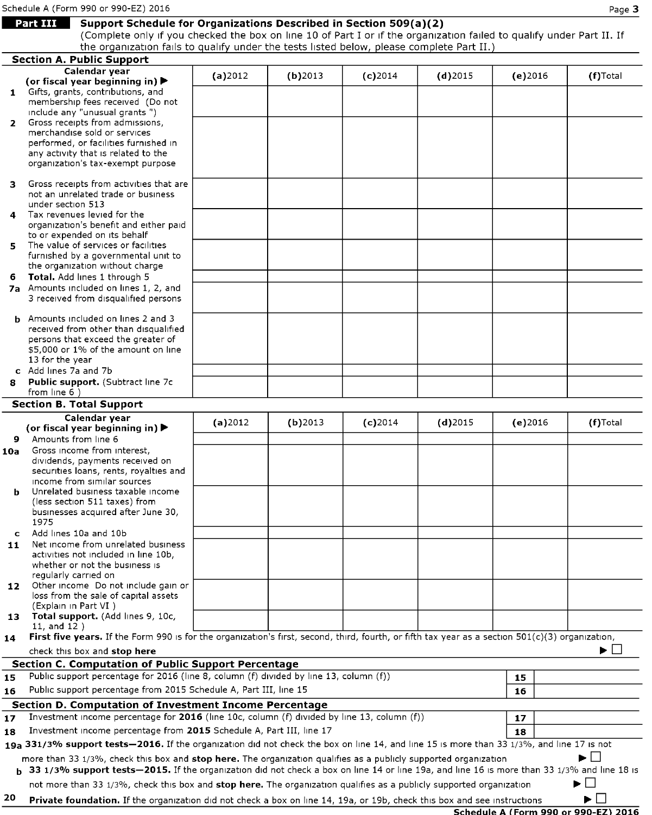# **Part III Support Schedule for Organizations Described in Section 509(a)(2)**

(Complete only if you checked the box on line 10 of Part <sup>I</sup> or if the organization failed to qualify under Part II. If the organization fails to qualify under the tests listed below, please complete Part II.)

|              | the organization rans to quality and the tests isted below, pieuse complete rait 11.                                                               |         |            |            |            |                                      |             |
|--------------|----------------------------------------------------------------------------------------------------------------------------------------------------|---------|------------|------------|------------|--------------------------------------|-------------|
|              | <b>Section A. Public Support</b><br>Calendar vear                                                                                                  |         |            |            |            |                                      |             |
|              | (or fiscal year beginning in) $\blacktriangleright$                                                                                                | (a)2012 | $(b)$ 2013 | $(c)$ 2014 | $(d)$ 2015 | $(e)$ 2016                           | $(f)$ Total |
|              | 1 Gifts, grants, contributions, and                                                                                                                |         |            |            |            |                                      |             |
|              | membership fees received (Do not                                                                                                                   |         |            |            |            |                                      |             |
|              | include any "unusual grants")                                                                                                                      |         |            |            |            |                                      |             |
| $\mathbf{2}$ | Gross receipts from admissions,                                                                                                                    |         |            |            |            |                                      |             |
|              | merchandise sold or services                                                                                                                       |         |            |            |            |                                      |             |
|              | performed, or facilities furnished in                                                                                                              |         |            |            |            |                                      |             |
|              | any activity that is related to the                                                                                                                |         |            |            |            |                                      |             |
|              | organization's tax-exempt purpose                                                                                                                  |         |            |            |            |                                      |             |
|              |                                                                                                                                                    |         |            |            |            |                                      |             |
| з.           | Gross receipts from activities that are<br>not an unrelated trade or business                                                                      |         |            |            |            |                                      |             |
|              | under section 513                                                                                                                                  |         |            |            |            |                                      |             |
| 4            | Tax revenues levied for the                                                                                                                        |         |            |            |            |                                      |             |
|              | organization's benefit and either paid                                                                                                             |         |            |            |            |                                      |             |
|              | to or expended on its behalf                                                                                                                       |         |            |            |            |                                      |             |
| 5.           | The value of services or facilities                                                                                                                |         |            |            |            |                                      |             |
|              | furnished by a governmental unit to                                                                                                                |         |            |            |            |                                      |             |
|              | the organization without charge                                                                                                                    |         |            |            |            |                                      |             |
| 6            | Total. Add lines 1 through 5                                                                                                                       |         |            |            |            |                                      |             |
|              | 7a Amounts included on lines 1, 2, and                                                                                                             |         |            |            |            |                                      |             |
|              | 3 received from disqualified persons                                                                                                               |         |            |            |            |                                      |             |
|              | <b>b</b> Amounts included on lines 2 and 3                                                                                                         |         |            |            |            |                                      |             |
|              | received from other than disqualified                                                                                                              |         |            |            |            |                                      |             |
|              | persons that exceed the greater of                                                                                                                 |         |            |            |            |                                      |             |
|              | \$5,000 or 1% of the amount on line                                                                                                                |         |            |            |            |                                      |             |
|              | 13 for the year                                                                                                                                    |         |            |            |            |                                      |             |
|              | c Add lines 7a and 7b                                                                                                                              |         |            |            |            |                                      |             |
| 8            | Public support. (Subtract line 7c                                                                                                                  |         |            |            |            |                                      |             |
|              | from line $6$ )                                                                                                                                    |         |            |            |            |                                      |             |
|              | <b>Section B. Total Support</b>                                                                                                                    |         |            |            |            |                                      |             |
|              | Calendar year                                                                                                                                      | (a)2012 | $(b)$ 2013 | $(c)$ 2014 | $(d)$ 2015 | $(e)$ 2016                           | (f)Total    |
|              | (or fiscal year beginning in) $\blacktriangleright$                                                                                                |         |            |            |            |                                      |             |
|              | 9 Amounts from line 6                                                                                                                              |         |            |            |            |                                      |             |
| 10a          | Gross income from interest,                                                                                                                        |         |            |            |            |                                      |             |
|              | dividends, payments received on                                                                                                                    |         |            |            |            |                                      |             |
|              | securities loans, rents, royalties and                                                                                                             |         |            |            |            |                                      |             |
|              | income from similar sources                                                                                                                        |         |            |            |            |                                      |             |
| ь            | Unrelated business taxable income<br>(less section 511 taxes) from                                                                                 |         |            |            |            |                                      |             |
|              | businesses acquired after June 30,                                                                                                                 |         |            |            |            |                                      |             |
|              | 1975                                                                                                                                               |         |            |            |            |                                      |             |
|              | c Add lines 10a and 10b                                                                                                                            |         |            |            |            |                                      |             |
| 11           | Net income from unrelated business                                                                                                                 |         |            |            |            |                                      |             |
|              | activities not included in line 10b,                                                                                                               |         |            |            |            |                                      |             |
|              | whether or not the business is                                                                                                                     |         |            |            |            |                                      |             |
|              | regularly carried on                                                                                                                               |         |            |            |            |                                      |             |
| 12           | Other income Do not include gain or                                                                                                                |         |            |            |            |                                      |             |
|              | loss from the sale of capital assets                                                                                                               |         |            |            |            |                                      |             |
| 13.          | (Explain in Part VI)<br><b>Total support.</b> (Add lines 9, 10c,                                                                                   |         |            |            |            |                                      |             |
|              | 11, and 12)                                                                                                                                        |         |            |            |            |                                      |             |
| 14           | First five years. If the Form 990 is for the organization's first, second, third, fourth, or fifth tax year as a section $501(c)(3)$ organization, |         |            |            |            |                                      |             |
|              | check this box and stop here                                                                                                                       |         |            |            |            |                                      | ▶LI         |
|              | <b>Section C. Computation of Public Support Percentage</b>                                                                                         |         |            |            |            |                                      |             |
| 15           | Public support percentage for 2016 (line 8, column (f) divided by line 13, column (f))                                                             |         |            |            |            | 15                                   |             |
| 16           | Public support percentage from 2015 Schedule A, Part III, line 15                                                                                  |         |            |            |            | 16                                   |             |
|              |                                                                                                                                                    |         |            |            |            |                                      |             |
|              | <b>Section D. Computation of Investment Income Percentage</b>                                                                                      |         |            |            |            |                                      |             |
| 17           | Investment income percentage for 2016 (line 10c, column (f) divided by line 13, column (f))                                                        |         |            |            |            | 17                                   |             |
| 18           | Investment income percentage from 2015 Schedule A, Part III, line 17                                                                               |         |            |            |            | 18                                   |             |
|              | 19a 331/3% support tests-2016. If the organization did not check the box on line 14, and line 15 is more than 33 1/3%, and line 17 is not          |         |            |            |            |                                      |             |
|              | more than 33 1/3%, check this box and stop here. The organization qualifies as a publicly supported organization                                   |         |            |            |            |                                      | ▶││         |
|              | b 33 1/3% support tests-2015. If the organization did not check a box on line 14 or line 19a, and line 16 is more than 33 1/3% and line 18 is      |         |            |            |            |                                      |             |
|              | not more than 33 1/3%, check this box and stop here. The organization qualifies as a publicly supported organization                               |         |            |            |            |                                      |             |
| 20           |                                                                                                                                                    |         |            |            |            |                                      | ▶           |
|              | <b>Private foundation.</b> If the organization did not check a box on line 14, 19a, or 19b, check this box and see instructions                    |         |            |            |            | Schedule A (Form 990 or 990-EZ) 2016 |             |
|              |                                                                                                                                                    |         |            |            |            |                                      |             |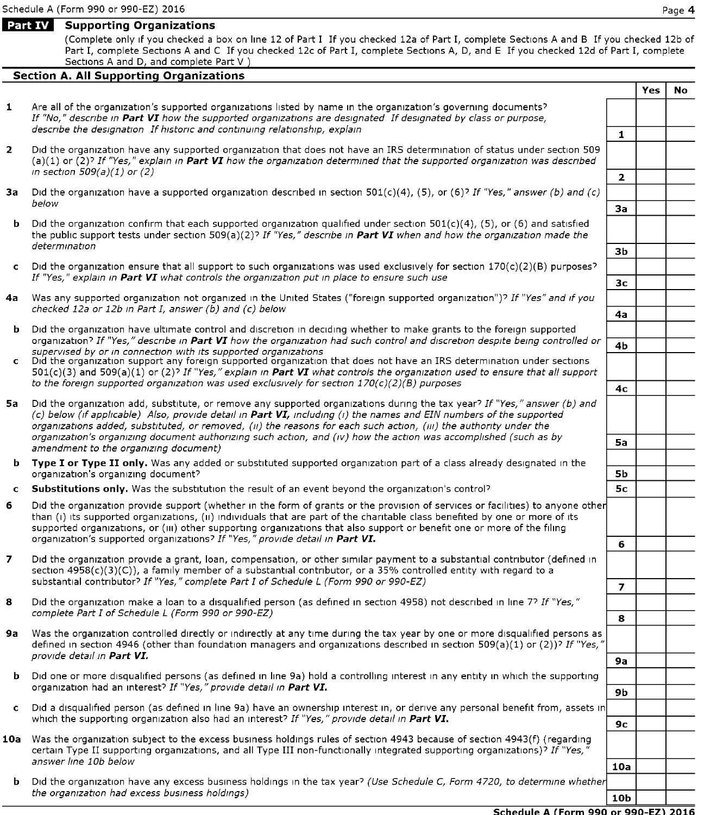## Part IV Supporting Organizations

(Complete only if you checked a box on line 12 of Part <sup>I</sup> If you checked 12a of Part I, complete Sections A and B If you checked 12b of Part I, complete Sections A and C If you checked 12c of Part I, complete Sections A, D, and E If you checked 12d of Part I, complete Sections A and D, and complete Part V

## **Section A. All Supporting Organizations**

|              |                                                                                                                                                                                                                                                                                                                                                                        |                 | <b>Yes</b> | No. |
|--------------|------------------------------------------------------------------------------------------------------------------------------------------------------------------------------------------------------------------------------------------------------------------------------------------------------------------------------------------------------------------------|-----------------|------------|-----|
| $\mathbf{1}$ | Are all of the organization's supported organizations listed by name in the organization's governing documents?<br>If "No," describe in Part VI how the supported organizations are designated If designated by class or purpose,<br>describe the designation If historic and continuing relationship, explain                                                         |                 |            |     |
|              |                                                                                                                                                                                                                                                                                                                                                                        | $\mathbf{1}$    |            |     |
| $\mathbf{2}$ | Did the organization have any supported organization that does not have an IRS determination of status under section 509<br>(a)(1) or (2)? If "Yes," explain in Part VI how the organization determined that the supported organization was described<br>in section $509(a)(1)$ or (2)                                                                                 |                 |            |     |
|              |                                                                                                                                                                                                                                                                                                                                                                        | $\mathbf{2}$    |            |     |
| За           | Did the organization have a supported organization described in section $501(c)(4)$ , (5), or (6)? If "Yes," answer (b) and (c)<br>below                                                                                                                                                                                                                               |                 |            |     |
|              |                                                                                                                                                                                                                                                                                                                                                                        | За              |            |     |
|              | <b>b</b> Did the organization confirm that each supported organization qualified under section $501(c)(4)$ , (5), or (6) and satisfied<br>the public support tests under section 509(a)(2)? If "Yes," describe in Part VI when and how the organization made the<br>determination                                                                                      |                 |            |     |
|              |                                                                                                                                                                                                                                                                                                                                                                        | Зb              |            |     |
|              | c Did the organization ensure that all support to such organizations was used exclusively for section $170(c)(2)(B)$ purposes?<br>If "Yes," explain in Part VI what controls the organization put in place to ensure such use                                                                                                                                          |                 |            |     |
|              |                                                                                                                                                                                                                                                                                                                                                                        | 3 <sub>c</sub>  |            |     |
|              | 4a Was any supported organization not organized in the United States ("foreign supported organization")? If "Yes" and if you<br>checked 12a or 12b in Part I, answer (b) and (c) below                                                                                                                                                                                 |                 |            |     |
|              |                                                                                                                                                                                                                                                                                                                                                                        | 4a              |            |     |
|              | <b>b</b> Did the organization have ultimate control and discretion in deciding whether to make grants to the foreign supported<br>organization? If "Yes," describe in Part VI how the organization had such control and discretion despite being controlled or                                                                                                         | 4b              |            |     |
|              | supervised by or in connection with its supported organizations<br>c Did the organization support any foreign supported organization that does not have an IRS determination under sections<br>$501(c)(3)$ and $509(a)(1)$ or (2)? If "Yes," explain in Part VI what controls the organization used to ensure that all support                                         |                 |            |     |
|              | to the foreign supported organization was used exclusively for section $170(c)(2)(B)$ purposes                                                                                                                                                                                                                                                                         |                 |            |     |
|              |                                                                                                                                                                                                                                                                                                                                                                        | 4 <sub>c</sub>  |            |     |
| 5а           | Did the organization add, substitute, or remove any supported organizations during the tax year? If "Yes," answer (b) and<br>(c) below (if applicable) Also, provide detail in Part VI, including (i) the names and EIN numbers of the supported<br>organizations added, substituted, or removed, (ii) the reasons for each such action, (iii) the authority under the |                 |            |     |
|              | organization's organizing document authorizing such action, and (iv) how the action was accomplished (such as by                                                                                                                                                                                                                                                       | 5a              |            |     |
|              | amendment to the organizing document)                                                                                                                                                                                                                                                                                                                                  |                 |            |     |
|              | b Type I or Type II only. Was any added or substituted supported organization part of a class already designated in the<br>organization's organizing document?                                                                                                                                                                                                         | <b>5b</b>       |            |     |
|              | c Substitutions only. Was the substitution the result of an event beyond the organization's control?                                                                                                                                                                                                                                                                   | 5с              |            |     |
| 6            | Did the organization provide support (whether in the form of grants or the provision of services or facilities) to anyone other                                                                                                                                                                                                                                        |                 |            |     |
|              | than (i) its supported organizations, (ii) individuals that are part of the charitable class benefited by one or more of its<br>supported organizations, or (iii) other supporting organizations that also support or benefit one or more of the filing<br>organization's supported organizations? If "Yes," provide detail in Part VI.                                | 6               |            |     |
| 7            | Did the organization provide a grant, loan, compensation, or other similar payment to a substantial contributor (defined in                                                                                                                                                                                                                                            |                 |            |     |
|              | section $4958(c)(3)(C)$ , a family member of a substantial contributor, or a 35% controlled entity with regard to a<br>substantial contributor? If "Yes," complete Part I of Schedule L (Form 990 or 990-EZ)                                                                                                                                                           |                 |            |     |
|              |                                                                                                                                                                                                                                                                                                                                                                        | $\overline{ }$  |            |     |
| 8            | Did the organization make a loan to a disqualified person (as defined in section 4958) not described in line 7? If "Yes,"<br>complete Part I of Schedule L (Form 990 or 990-EZ)                                                                                                                                                                                        |                 |            |     |
|              |                                                                                                                                                                                                                                                                                                                                                                        | 8               |            |     |
| 9а           | Was the organization controlled directly or indirectly at any time during the tax year by one or more disqualified persons as<br>defined in section 4946 (other than foundation managers and organizations described in section 509(a)(1) or (2))? If "Yes,"<br>provide detail in Part VI.                                                                             |                 |            |     |
|              |                                                                                                                                                                                                                                                                                                                                                                        | <b>9a</b>       |            |     |
| b.           | Did one or more disqualified persons (as defined in line 9a) hold a controlling interest in any entity in which the supporting<br>organization had an interest? If "Yes," provide detail in Part VI.                                                                                                                                                                   | 9b              |            |     |
|              | c Did a disqualified person (as defined in line 9a) have an ownership interest in, or derive any personal benefit from, assets in                                                                                                                                                                                                                                      |                 |            |     |
|              | which the supporting organization also had an interest? If "Yes," provide detail in Part VI.                                                                                                                                                                                                                                                                           |                 |            |     |
|              | 10a Was the organization subject to the excess business holdings rules of section 4943 because of section 4943(f) (regarding                                                                                                                                                                                                                                           | 9с              |            |     |
|              | certain Type II supporting organizations, and all Type III non-functionally integrated supporting organizations)? If "Yes,"                                                                                                                                                                                                                                            |                 |            |     |
|              | answer line 10b below<br>10a                                                                                                                                                                                                                                                                                                                                           |                 |            |     |
|              | <b>b</b> Did the organization have any excess business holdings in the tax year? (Use Schedule C, Form 4720, to determine whether<br>the organization had excess business holdings)                                                                                                                                                                                    | 10 <sub>b</sub> |            |     |
|              |                                                                                                                                                                                                                                                                                                                                                                        |                 |            |     |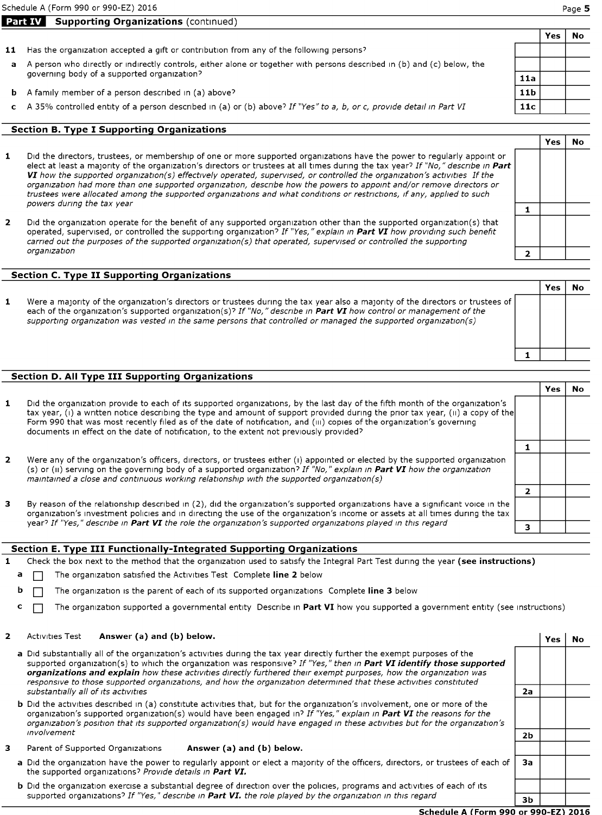# Part IV Supporting Organizations (continued)

- 11 Has the organization accepted a gift or contribution from any of the following persons?
- a A person who directly or indirectly controls, either alone or together with persons described in (b) and (c) below, the governing body of a supported organization?
- A family member of a person described in (a) above?
- c A 35% controlled entity of a person described in (a) or (b) above? If "Yes" to a, b, or c, provide detail in Part VI

#### Section B. Type <sup>I</sup> Supporting Organizations

- $\mathbf{1}$ Did the directors, trustees, or membership of one or more supported organizations have the power to regularly appoint or elect at least a majority of the organization's directors or trustees at all times during the tax year? If "No," describe in  $P_1$ VI how the supported organization(s) effectively operated, supervised, or controlled the organization's activities If the organization had more than one supported organization, describe how the powers to appoint and/or remove directors or trustees were allocated among the supported organizations and what conditions or restrictions, if any, applied to such powers during the tax year
- $\overline{2}$ Did the organization operate for the benefit of any supported organization other than the supported organization(s) that operated, supervised, or controlled the supporting organization? If "Yes," explain in Part VI how providing such benefit carried out the purposes of the supported organization(s) that operated, supervised or controlled the supporting organization

### Section C. Type II Supporting Organizations

 $\mathbf{1}$ Were <sup>a</sup> majority of the organization's directors or trustees during the tax year also <sup>a</sup> majority of the directors or trustees of each of the organization's supported organization(s)? If "No," describe in Part VI how control or management of the supporting organization was vested in the same persons that controlled or managed the supported organization(s)

### Section D. All Type III Supporting Organizations

|                                                                                                                                                                                                                                                                                                                                                                                                                                                                                       | Yes |  |
|---------------------------------------------------------------------------------------------------------------------------------------------------------------------------------------------------------------------------------------------------------------------------------------------------------------------------------------------------------------------------------------------------------------------------------------------------------------------------------------|-----|--|
| Did the organization provide to each of its supported organizations, by the last day of the fifth month of the organization's<br>tax year, (i) a written notice describing the type and amount of support provided during the prior tax year, (ii) a copy of the<br>Form 990 that was most recently filed as of the date of notification, and (III) copies of the organization's governing<br>documents in effect on the date of notification, to the extent not previously provided? |     |  |
|                                                                                                                                                                                                                                                                                                                                                                                                                                                                                       |     |  |
| Were any of the organization's officers, directors, or trustees either (i) appointed or elected by the supported organization<br>(s) or (ii) serving on the governing body of a supported organization? If "No," explain in Part VI how the organization<br>maintained a close and continuous working relationship with the supported organization(s)                                                                                                                                 |     |  |
|                                                                                                                                                                                                                                                                                                                                                                                                                                                                                       |     |  |
| By reason of the relationship described in (2), did the organization's supported organizations have a significant voice in the<br>organization's investment policies and in directing the use of the organization's income or assets at all times during the tax                                                                                                                                                                                                                      |     |  |
| year? If "Yes," describe in Part VI the role the organization's supported organizations played in this regard                                                                                                                                                                                                                                                                                                                                                                         |     |  |

#### Section E. Type III Functionally-Integrated Supporting Organizations

1 Check the box next to the method that the organization used to satisfy the Integral Part Test during the year (see instructions)

- The organization satisfied the Activities Test Complete line 2 below
- **b**  $\Box$  The organization is the parent of each of its supported organizations Complete line 3 below
- c  $\Box$  The organization supported a governmental entity Describe in Part VI how you supported a government entity (see instructions)

#### $\overline{2}$ Activities Test **Answer (a) and (b) below.**

3

| a Did substantially all of the organization's activities during the tax year directly further the exempt purposes of the<br>supported organization(s) to which the organization was responsive? If "Yes," then in Part VI identify those supported<br>organizations and explain how these activities directly furthered their exempt purposes, how the organization was<br>responsive to those supported organizations, and how the organization determined that these activities constituted<br>substantially all of its activities | 2а             |  |
|--------------------------------------------------------------------------------------------------------------------------------------------------------------------------------------------------------------------------------------------------------------------------------------------------------------------------------------------------------------------------------------------------------------------------------------------------------------------------------------------------------------------------------------|----------------|--|
| <b>b</b> Did the activities described in (a) constitute activities that, but for the organization's involvement, one or more of the<br>organization's supported organization(s) would have been engaged in? If "Yes," explain in Part VI the reasons for the<br>organization's position that its supported organization(s) would have engaged in these activities but for the organization's                                                                                                                                         |                |  |
| involvement                                                                                                                                                                                                                                                                                                                                                                                                                                                                                                                          | 2 <sub>b</sub> |  |
| Parent of Supported Organizations<br>Answer (a) and (b) below.                                                                                                                                                                                                                                                                                                                                                                                                                                                                       |                |  |
| a Did the organization have the power to regularly appoint or elect a majority of the officers, directors, or trustees of each of<br>the supported organizations? Provide details in Part VI.                                                                                                                                                                                                                                                                                                                                        | За             |  |
| the contract of the contract of the contract of the contract of the contract of the contract of the contract of<br>.<br>.                                                                                                                                                                                                                                                                                                                                                                                                            |                |  |

b Did the organization exercise a substantial degree of direction over the policies, programs and activities of each of its supported organizations? If "Yes," describe in Part VI. the role played by the organization in this regard

#### Schedule A (Form 990 or 990-EZ) 2016

 $3<sub>b</sub>$ 

Yes <sup>I</sup> No

|--|--|

No

Yes

| $\overline{\mathbf{2}}$ |  |
|-------------------------|--|
|                         |  |
|                         |  |
| 1                       |  |
|                         |  |
|                         |  |

 $\mathbf 1$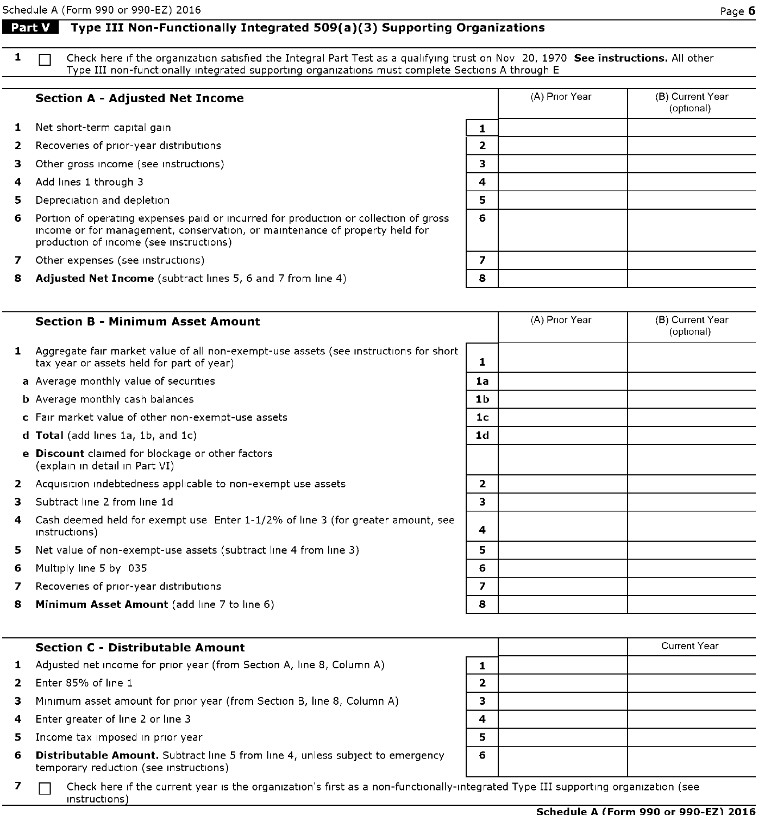## Part V  $\mid$  Type III Non-Functionally Integrated 509(a)(3) Supporting Organizations

1  $\Box$  Check here if the organization satisfied the Integral Part Test as a qualifying trust on Nov 20, 1970 See instructions. All other Type III non-functionally integrated supporting organizations must complete Sections A through E

### Section A - Adjusted Net Income

- 1 Net short-term capital gain
- 2 Recoveries of prior-year distributions
- 3 Other gross income (see instructions)
- 4 Add lines 1 through 3
- 5 Depreciation and depletion
- 6 Portion of operating expenses paid or incurred for production or collection of gross income or for management, conservation, or maintenance of property held for production of income (see instructions)

| 7 Other expenses (see instructions) |  |
|-------------------------------------|--|
|-------------------------------------|--|

Adjusted Net Income (subtract lines 5, 6 and 7 from line 4)

| 1 Aggregate fair market value of all non-exempt-use assets (see instructions for short  <br>tax year or assets held for part of year) |  |
|---------------------------------------------------------------------------------------------------------------------------------------|--|
|                                                                                                                                       |  |

- a Average monthly value of securities
- **b** Average monthly cash balances
- c Fair market value of other non-exempt-use assets

Section B - Minimum Asset Amount

- d Total (add lines 1a, 1b, and 1c)
- e Discount claimed for blockage or other factors (explain in detail in Part VI)
- 2 Acquisition indebtedness applicable to non-exempt use assets
- 3 Subtract line 2 from line 1d
- 4 Cash deemed held for exempt use Enter 1-1/2% of line <sup>3</sup> (for greater amount, see instructions) 4
- 5 Net value of non-exempt-use assets (subtract line 4 from line 3)
- 6 Multiply line 5 by 035
- 7 Recoveries of prior-year distributions 7
- 8 **Minimum Asset Amount** (add line 7 to line 6) 8 **8**

#### Section C - Distributable Amount

- 1 Adjusted net income for prior year (from Section A, line 8, Column A)
- 2 Enter 85% of line 1
- 3 Minimum asset amount for prior year (from Section B, line 8, Column A)
- 4 Enter greater of line 2 or line 3
- 5 Income tax imposed in prior year
- 6 Distributable Amount. Subtract line <sup>5</sup> from line 4, unless subject to emergency temporary reduction (see instructions)
- 7 Check here if the current year is the organization's first as a non-functionally-integrated Type III supporting organization (see instructions)

|                         | (A) Prior Year | (B) Current Year<br>(optional) |
|-------------------------|----------------|--------------------------------|
| 1                       |                |                                |
| $\overline{\mathbf{2}}$ |                |                                |
| 3                       |                |                                |
| $\ddot{a}$              |                |                                |
| 5                       |                |                                |
| 6                       |                |                                |
| 7                       |                |                                |
| 8                       |                |                                |

|   | <b>Current Year</b> |
|---|---------------------|
|   |                     |
| 2 |                     |
| ٠ |                     |
|   |                     |
| 5 |                     |
| 6 |                     |
|   |                     |

|                | (A) Prior Year | (B) Current Year<br>(optional) |
|----------------|----------------|--------------------------------|
| 1              |                |                                |
|                |                |                                |
| 1a             |                |                                |
| 1 <sub>b</sub> |                |                                |
| 1 <sub>c</sub> |                |                                |
| 1 <sub>d</sub> |                |                                |
|                |                |                                |
|                |                |                                |
| 2              |                |                                |
| 3              |                |                                |
| 4              |                |                                |
| 5              |                |                                |
| 6              |                |                                |
| 7              |                |                                |
|                |                |                                |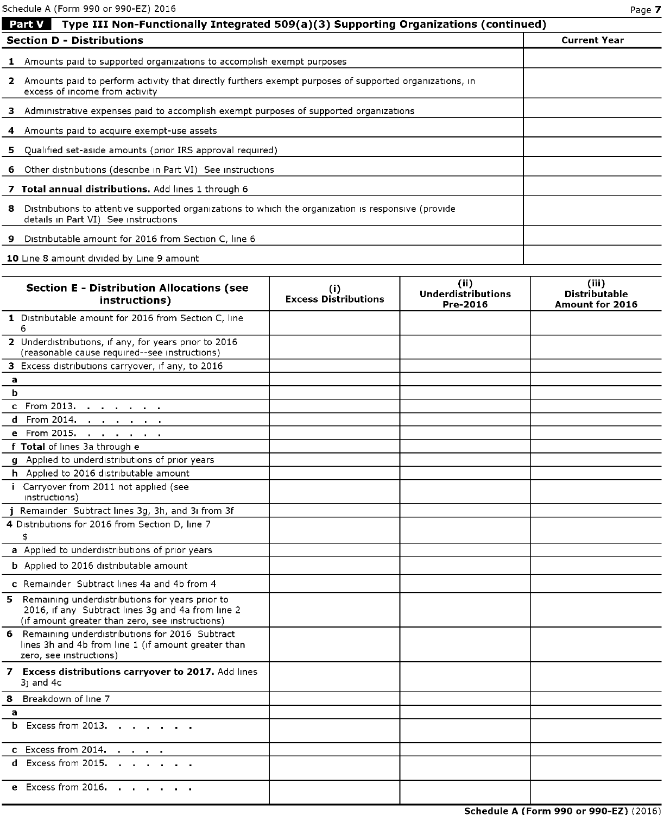|                                                         | Schedule A (Form 990 or 990-EZ) 2016<br>Page 7                                                                                              |  |  |  |  |
|---------------------------------------------------------|---------------------------------------------------------------------------------------------------------------------------------------------|--|--|--|--|
|                                                         | <b>Part V</b><br>Type III Non-Functionally Integrated 509(a)(3) Supporting Organizations (continued)                                        |  |  |  |  |
| <b>Section D - Distributions</b><br><b>Current Year</b> |                                                                                                                                             |  |  |  |  |
|                                                         | <b>1</b> Amounts paid to supported organizations to accomplish exempt purposes                                                              |  |  |  |  |
|                                                         | 2 Amounts paid to perform activity that directly furthers exempt purposes of supported organizations, in<br>excess of income from activity  |  |  |  |  |
|                                                         | 3 Administrative expenses paid to accomplish exempt purposes of supported organizations                                                     |  |  |  |  |
|                                                         | 4 Amounts paid to acquire exempt-use assets                                                                                                 |  |  |  |  |
|                                                         | 5 Qualified set-aside amounts (prior IRS approval required)                                                                                 |  |  |  |  |
|                                                         | 6 Other distributions (describe in Part VI) See instructions                                                                                |  |  |  |  |
|                                                         | 7 Total annual distributions. Add lines 1 through 6                                                                                         |  |  |  |  |
| 8                                                       | Distributions to attentive supported organizations to which the organization is responsive (provide<br>details in Part VI) See instructions |  |  |  |  |
| 9.                                                      | Distributable amount for 2016 from Section C, line 6                                                                                        |  |  |  |  |
|                                                         | 10 Line 8 amount divided by Line 9 amount                                                                                                   |  |  |  |  |

| <b>Section E - Distribution Allocations (see</b><br>instructions)                                                                                         | (i)<br><b>Excess Distributions</b> | (ii)<br><b>Underdistributions</b><br>Pre-2016 | (iii)<br><b>Distributable</b><br>Amount for 2016 |
|-----------------------------------------------------------------------------------------------------------------------------------------------------------|------------------------------------|-----------------------------------------------|--------------------------------------------------|
| 1 Distributable amount for 2016 from Section C, line<br>6                                                                                                 |                                    |                                               |                                                  |
| 2 Underdistributions, if any, for years prior to 2016<br>(reasonable cause required--see instructions)                                                    |                                    |                                               |                                                  |
| 3 Excess distributions carryover, if any, to 2016                                                                                                         |                                    |                                               |                                                  |
| a                                                                                                                                                         |                                    |                                               |                                                  |
| ь                                                                                                                                                         |                                    |                                               |                                                  |
| <b>c</b> From 2013.                                                                                                                                       |                                    |                                               |                                                  |
| From 2014.<br>d                                                                                                                                           |                                    |                                               |                                                  |
| e From 2015.                                                                                                                                              |                                    |                                               |                                                  |
| f Total of lines 3a through e                                                                                                                             |                                    |                                               |                                                  |
| g Applied to underdistributions of prior years                                                                                                            |                                    |                                               |                                                  |
| h Applied to 2016 distributable amount                                                                                                                    |                                    |                                               |                                                  |
| i Carryover from 2011 not applied (see<br>instructions)                                                                                                   |                                    |                                               |                                                  |
| j Remainder Subtract lines 3g, 3h, and 3i from 3f                                                                                                         |                                    |                                               |                                                  |
| 4 Distributions for 2016 from Section D, line 7<br>\$                                                                                                     |                                    |                                               |                                                  |
| a Applied to underdistributions of prior years                                                                                                            |                                    |                                               |                                                  |
| <b>b</b> Applied to 2016 distributable amount                                                                                                             |                                    |                                               |                                                  |
| c Remainder Subtract lines 4a and 4b from 4                                                                                                               |                                    |                                               |                                                  |
| 5 Remaining underdistributions for years prior to<br>2016, if any Subtract lines 3g and 4a from line 2<br>(if amount greater than zero, see instructions) |                                    |                                               |                                                  |
| 6 Remaining underdistributions for 2016 Subtract<br>lines 3h and 4b from line 1 (if amount greater than<br>zero, see instructions)                        |                                    |                                               |                                                  |
| 7 Excess distributions carryover to 2017. Add lines<br>$31$ and $4c$                                                                                      |                                    |                                               |                                                  |
| 8 Breakdown of line 7                                                                                                                                     |                                    |                                               |                                                  |
| a                                                                                                                                                         |                                    |                                               |                                                  |
| <b>b</b> Excess from 2013.                                                                                                                                |                                    |                                               |                                                  |
| c Excess from 2014. $\ldots$ .                                                                                                                            |                                    |                                               |                                                  |
| d Excess from 2015.                                                                                                                                       |                                    |                                               |                                                  |
| e Excess from 2016.                                                                                                                                       |                                    |                                               |                                                  |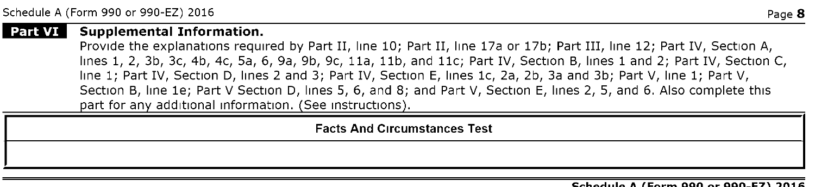#### l Part VI l Supplemental Information.

Provide the explanations required by Part II, line 10; Part II, line 17a or 17b; Part III, line 12; Part IV, Section A, lines 1, 2, 3b, 3c, 4b, 4c, 5a, 6, 9a, 9b, 9c, 11a, 11b, and 11c; Part IV, Section B, lines <sup>1</sup> and 2; Part IV, Section C, line 1; Part IV, Section D, lines 2 and 3; Part IV, Section E, lines 1c, 2a, 2b, 3a and 3b; Part V, line 1; Part V, Section B, line le; Part V Section D, lines 5, 6, and 8; and Part V, Section E, lines 2, 5, and 6. Also complete this part for any additional information. (See instructions).

Facts And Circumstances Test

#### Cehedric A (Ferm 000 er 000 EZ) 2016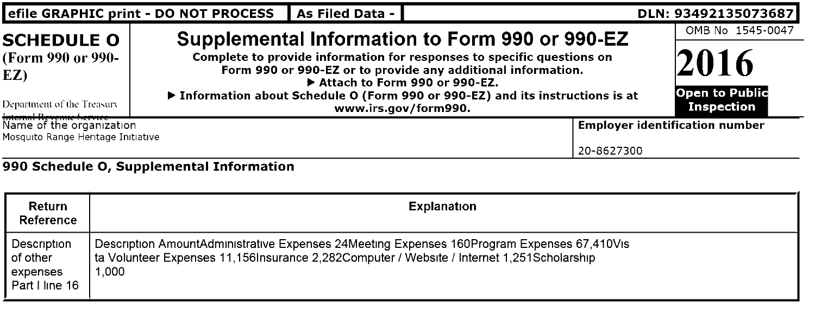| efile GRAPHIC print - DO NOT PROCESS<br>As Filed Data -<br>DLN: 93492135073687                                      |                                                                                                                                                                                                  |                                                                                                                                                                                                                                                                                                                                     |                                       |  |
|---------------------------------------------------------------------------------------------------------------------|--------------------------------------------------------------------------------------------------------------------------------------------------------------------------------------------------|-------------------------------------------------------------------------------------------------------------------------------------------------------------------------------------------------------------------------------------------------------------------------------------------------------------------------------------|---------------------------------------|--|
| <b>SCHEDULE O</b><br>(Form 990 or 990-<br>EZ)<br>Department of the Treasury                                         |                                                                                                                                                                                                  | Supplemental Information to Form 990 or 990-EZ<br>Complete to provide information for responses to specific questions on<br>Form 990 or 990-EZ or to provide any additional information.<br>Attach to Form 990 or 990-EZ.<br>▶ Information about Schedule O (Form 990 or 990-EZ) and its instructions is at<br>www.irs.gov/form990. |                                       |  |
| Internal Revenue f.cr.vice ________<br>Name of the organization<br>Mosquito Range Heritage Initiative<br>20-8627300 |                                                                                                                                                                                                  |                                                                                                                                                                                                                                                                                                                                     | <b>Employer identification number</b> |  |
|                                                                                                                     | 990 Schedule O, Supplemental Information                                                                                                                                                         |                                                                                                                                                                                                                                                                                                                                     |                                       |  |
| <b>Return</b><br>Reference                                                                                          |                                                                                                                                                                                                  | <b>Explanation</b>                                                                                                                                                                                                                                                                                                                  |                                       |  |
| Description<br>of other<br>expenses                                                                                 | Description AmountAdministrative Expenses 24Meeting Expenses 160Program Expenses 67,410Vis<br>ta Volunteer Expenses 11,156Insurance 2,282Computer / Website / Internet 1,251Scholarship<br>1.000 |                                                                                                                                                                                                                                                                                                                                     |                                       |  |

expenses 1,000 Part <sup>I</sup> line 16